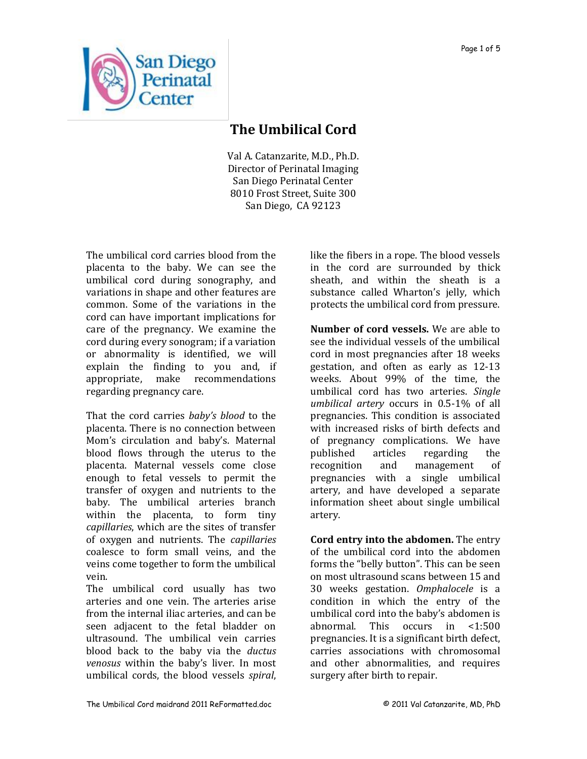

## **The Umbilical Cord**

Val A. Catanzarite, M.D., Ph.D. Director of Perinatal Imaging San Diego Perinatal Center 8010 Frost Street, Suite 300 San Diego, CA 92123

The umbilical cord carries blood from the placenta to the baby. We can see the umbilical cord during sonography, and variations in shape and other features are common. Some of the variations in the cord can have important implications for care of the pregnancy. We examine the cord during every sonogram; if a variation or abnormality is identified, we will explain the finding to you and, if appropriate, make recommendations regarding pregnancy care.

That the cord carries *baby's blood* to the placenta. There is no connection between Mom's circulation and baby's. Maternal blood flows through the uterus to the placenta. Maternal vessels come close enough to fetal vessels to permit the transfer of oxygen and nutrients to the baby. The umbilical arteries branch within the placenta, to form tiny *capillaries*, which are the sites of transfer of oxygen and nutrients. The *capillaries* coalesce to form small veins, and the veins come together to form the umbilical vein.

The umbilical cord usually has two arteries and one vein. The arteries arise from the internal iliac arteries, and can be seen adjacent to the fetal bladder on ultrasound. The umbilical vein carries blood back to the baby via the *ductus venosus* within the baby's liver. In most umbilical cords, the blood vessels *spiral*,

like the fibers in a rope. The blood vessels in the cord are surrounded by thick sheath, and within the sheath is a substance called Wharton's jelly, which protects the umbilical cord from pressure.

**Number of cord vessels.** We are able to see the individual vessels of the umbilical cord in most pregnancies after 18 weeks gestation, and often as early as 12-13 weeks. About 99% of the time, the umbilical cord has two arteries. *Single umbilical artery* occurs in 0.5-1% of all pregnancies. This condition is associated with increased risks of birth defects and of pregnancy complications. We have published articles regarding the recognition and management of pregnancies with a single umbilical artery, and have developed a separate information sheet about single umbilical artery.

**Cord entry into the abdomen.** The entry of the umbilical cord into the abdomen forms the "belly button". This can be seen on most ultrasound scans between 15 and 30 weeks gestation. *Omphalocele* is a condition in which the entry of the umbilical cord into the baby's abdomen is abnormal. This occurs in <1:500 pregnancies. It is a significant birth defect, carries associations with chromosomal and other abnormalities, and requires surgery after birth to repair.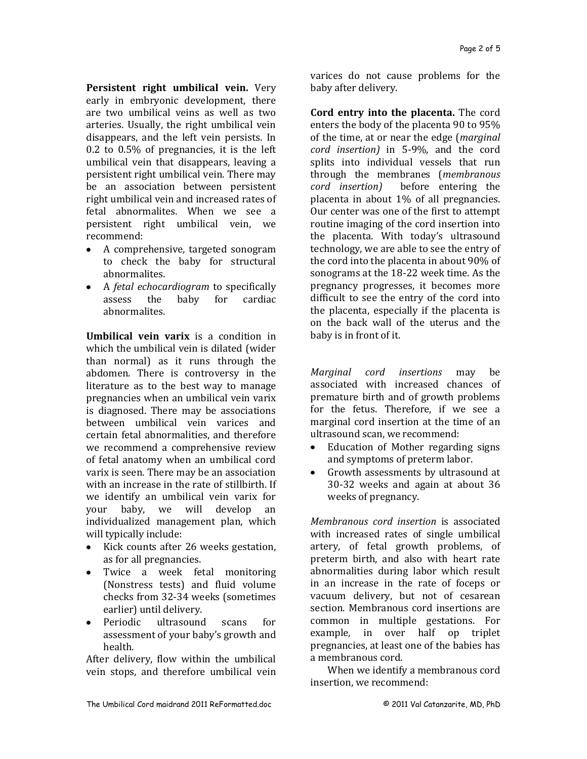**Persistent right umbilical vein.** Very early in embryonic development, there are two umbilical veins as well as two arteries. Usually, the right umbilical vein disappears, and the left vein persists. In 0.2 to 0.5% of pregnancies, it is the left umbilical vein that disappears, leaving a persistent right umbilical vein. There may be an association between persistent right umbilical vein and increased rates of fetal abnormalites. When we see a persistent right umbilical vein, we recommend:

- A comprehensive, targeted sonogram  $\bullet$ to check the baby for structural abnormalites.
- A *fetal echocardiogram* to specifically assess the baby for cardiac abnormalites.

**Umbilical vein varix** is a condition in which the umbilical vein is dilated (wider than normal) as it runs through the abdomen. There is controversy in the literature as to the best way to manage pregnancies when an umbilical vein varix is diagnosed. There may be associations between umbilical vein varices and certain fetal abnormalities, and therefore we recommend a comprehensive review of fetal anatomy when an umbilical cord varix is seen. There may be an association with an increase in the rate of stillbirth. If we identify an umbilical vein varix for your baby, we will develop an individualized management plan, which will typically include:

- $\bullet$ Kick counts after 26 weeks gestation, as for all pregnancies.
- Twice a week fetal monitoring (Nonstress tests) and fluid volume checks from 32-34 weeks (sometimes earlier) until delivery.
- Periodic ultrasound scans for assessment of your baby's growth and health.

After delivery, flow within the umbilical vein stops, and therefore umbilical vein

varices do not cause problems for the baby after delivery.

**Cord entry into the placenta.** The cord enters the body of the placenta 90 to 95% of the time, at or near the edge (*marginal cord insertion)* in 5-9%, and the cord splits into individual vessels that run through the membranes (*membranous cord insertion)* before entering the placenta in about 1% of all pregnancies. Our center was one of the first to attempt routine imaging of the cord insertion into the placenta. With today's ultrasound technology, we are able to see the entry of the cord into the placenta in about 90% of sonograms at the 18-22 week time. As the pregnancy progresses, it becomes more difficult to see the entry of the cord into the placenta, especially if the placenta is on the back wall of the uterus and the baby is in front of it.

*Marginal cord insertions* may be associated with increased chances of premature birth and of growth problems for the fetus. Therefore, if we see a marginal cord insertion at the time of an ultrasound scan, we recommend:

- Education of Mother regarding signs  $\bullet$ and symptoms of preterm labor.
- Growth assessments by ultrasound at  $\bullet$ 30-32 weeks and again at about 36 weeks of pregnancy.

*Membranous cord insertion* is associated with increased rates of single umbilical artery, of fetal growth problems, of preterm birth, and also with heart rate abnormalities during labor which result in an increase in the rate of foceps or vacuum delivery, but not of cesarean section. Membranous cord insertions are common in multiple gestations. For example, in over half op triplet pregnancies, at least one of the babies has a membranous cord.

When we identify a membranous cord insertion, we recommend: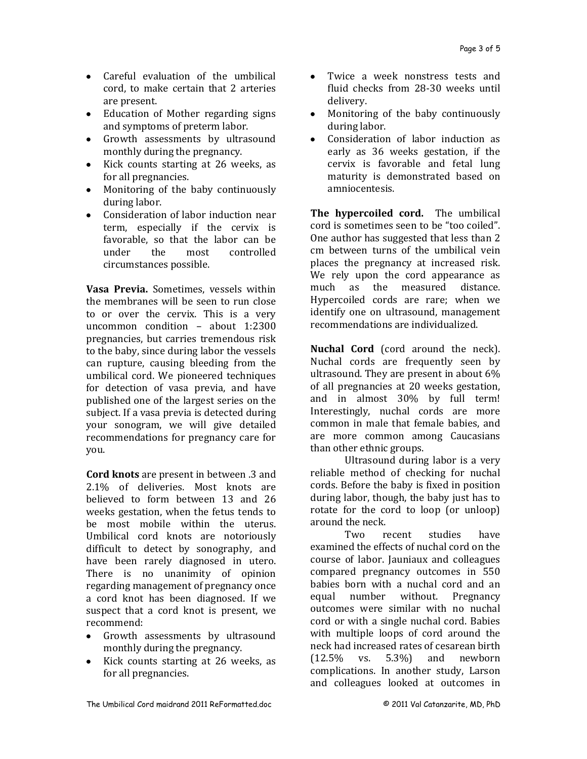- Careful evaluation of the umbilical cord, to make certain that 2 arteries are present.
- Education of Mother regarding signs and symptoms of preterm labor.
- Growth assessments by ultrasound monthly during the pregnancy.
- Kick counts starting at 26 weeks, as for all pregnancies.
- Monitoring of the baby continuously during labor.
- Consideration of labor induction near term, especially if the cervix is favorable, so that the labor can be under the most controlled circumstances possible.

**Vasa Previa.** Sometimes, vessels within the membranes will be seen to run close to or over the cervix. This is a very uncommon condition – about 1:2300 pregnancies, but carries tremendous risk to the baby, since during labor the vessels can rupture, causing bleeding from the umbilical cord. We pioneered techniques for detection of vasa previa, and have published one of the largest series on the subject. If a vasa previa is detected during your sonogram, we will give detailed recommendations for pregnancy care for you.

**Cord knots** are present in between .3 and 2.1% of deliveries. Most knots are believed to form between 13 and 26 weeks gestation, when the fetus tends to be most mobile within the uterus. Umbilical cord knots are notoriously difficult to detect by sonography, and have been rarely diagnosed in utero. There is no unanimity of opinion regarding management of pregnancy once a cord knot has been diagnosed. If we suspect that a cord knot is present, we recommend:

- Growth assessments by ultrasound monthly during the pregnancy.
- Kick counts starting at 26 weeks, as for all pregnancies.
- $\bullet$ Twice a week nonstress tests and fluid checks from 28-30 weeks until delivery.
- Monitoring of the baby continuously  $\bullet$ during labor.
- Consideration of labor induction as  $\bullet$ early as 36 weeks gestation, if the cervix is favorable and fetal lung maturity is demonstrated based on amniocentesis.

**The hypercoiled cord.** The umbilical cord is sometimes seen to be "too coiled". One author has suggested that less than 2 cm between turns of the umbilical vein places the pregnancy at increased risk. We rely upon the cord appearance as much as the measured distance. Hypercoiled cords are rare; when we identify one on ultrasound, management recommendations are individualized.

**Nuchal Cord** (cord around the neck). Nuchal cords are frequently seen by ultrasound. They are present in about 6% of all pregnancies at 20 weeks gestation, and in almost 30% by full term! Interestingly, nuchal cords are more common in male that female babies, and are more common among Caucasians than other ethnic groups.

Ultrasound during labor is a very reliable method of checking for nuchal cords. Before the baby is fixed in position during labor, though, the baby just has to rotate for the cord to loop (or unloop) around the neck.

Two recent studies have examined the effects of nuchal cord on the course of labor. Jauniaux and colleagues compared pregnancy outcomes in 550 babies born with a nuchal cord and an equal number without. Pregnancy outcomes were similar with no nuchal cord or with a single nuchal cord. Babies with multiple loops of cord around the neck had increased rates of cesarean birth (12.5% vs. 5.3%) and newborn complications. In another study, Larson and colleagues looked at outcomes in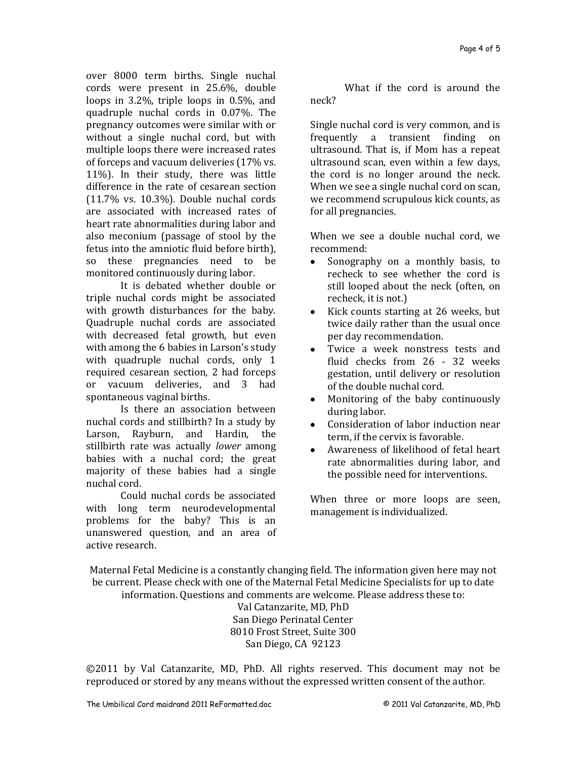over 8000 term births. Single nuchal cords were present in 25.6%, double loops in 3.2%, triple loops in 0.5%, and quadruple nuchal cords in 0.07%. The pregnancy outcomes were similar with or without a single nuchal cord, but with multiple loops there were increased rates of forceps and vacuum deliveries (17% vs. 11%). In their study, there was little difference in the rate of cesarean section (11.7% vs. 10.3%). Double nuchal cords are associated with increased rates of heart rate abnormalities during labor and also meconium (passage of stool by the fetus into the amniotic fluid before birth), so these pregnancies need to be monitored continuously during labor.

It is debated whether double or triple nuchal cords might be associated with growth disturbances for the baby. Quadruple nuchal cords are associated with decreased fetal growth, but even with among the 6 babies in Larson's study with quadruple nuchal cords, only 1 required cesarean section, 2 had forceps or vacuum deliveries, and 3 had spontaneous vaginal births.

Is there an association between nuchal cords and stillbirth? In a study by Larson, Rayburn, and Hardin, the stillbirth rate was actually *lower* among babies with a nuchal cord; the great majority of these babies had a single nuchal cord.

Could nuchal cords be associated with long term neurodevelopmental problems for the baby? This is an unanswered question, and an area of active research.

What if the cord is around the neck?

Single nuchal cord is very common, and is frequently a transient finding on ultrasound. That is, if Mom has a repeat ultrasound scan, even within a few days, the cord is no longer around the neck. When we see a single nuchal cord on scan, we recommend scrupulous kick counts, as for all pregnancies.

When we see a double nuchal cord, we recommend:

- $\bullet$ Sonography on a monthly basis, to recheck to see whether the cord is still looped about the neck (often, on recheck, it is not.)
- Kick counts starting at 26 weeks, but  $\bullet$ twice daily rather than the usual once per day recommendation.
- Twice a week nonstress tests and  $\bullet$ fluid checks from 26 - 32 weeks gestation, until delivery or resolution of the double nuchal cord.
- Monitoring of the baby continuously  $\bullet$ during labor.
- Consideration of labor induction near term, if the cervix is favorable.
- Awareness of likelihood of fetal heart  $\bullet$ rate abnormalities during labor, and the possible need for interventions.

When three or more loops are seen, management is individualized.

Maternal Fetal Medicine is a constantly changing field. The information given here may not be current. Please check with one of the Maternal Fetal Medicine Specialists for up to date information. Questions and comments are welcome. Please address these to:

Val Catanzarite, MD, PhD San Diego Perinatal Center 8010 Frost Street, Suite 300 San Diego, CA 92123

©2011 by Val Catanzarite, MD, PhD. All rights reserved. This document may not be reproduced or stored by any means without the expressed written consent of the author.